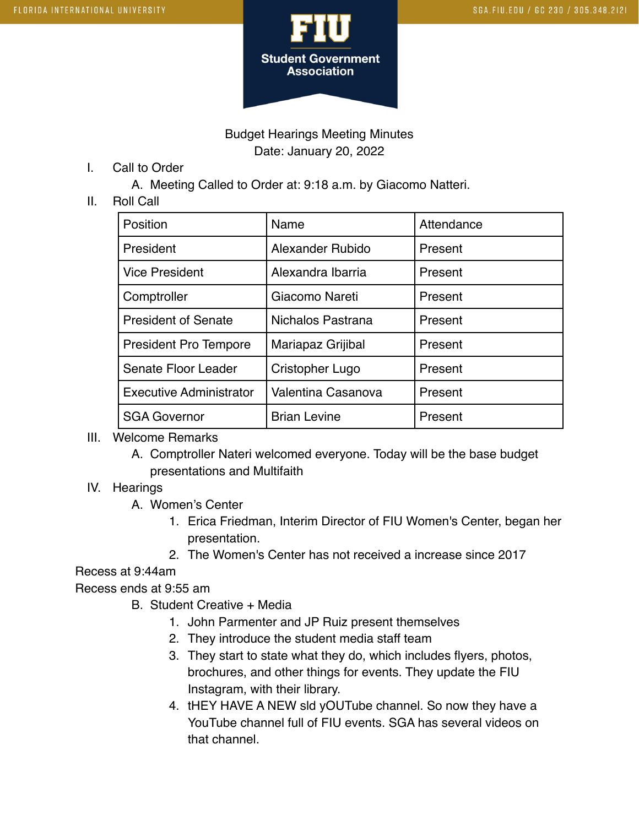

## Budget Hearings Meeting Minutes Date: January 20, 2022

I. Call to Order

A. Meeting Called to Order at: 9:18 a.m. by Giacomo Natteri.

#### II. Roll Call

| Position                       | Name                | Attendance |
|--------------------------------|---------------------|------------|
| President                      | Alexander Rubido    | Present    |
| <b>Vice President</b>          | Alexandra Ibarria   | Present    |
| Comptroller                    | Giacomo Nareti      | Present    |
| <b>President of Senate</b>     | Nichalos Pastrana   | Present    |
| <b>President Pro Tempore</b>   | Mariapaz Grijibal   | Present    |
| Senate Floor Leader            | Cristopher Lugo     | Present    |
| <b>Executive Administrator</b> | Valentina Casanova  | Present    |
| <b>SGA Governor</b>            | <b>Brian Levine</b> | Present    |

### III. Welcome Remarks

A. Comptroller Nateri welcomed everyone. Today will be the base budget presentations and Multifaith

### IV. Hearings

- A. Women's Center
	- 1. Erica Friedman, Interim Director of FIU Women's Center, began her presentation.
	- 2. The Women's Center has not received a increase since 2017

### Recess at 9:44am

Recess ends at 9:55 am

- B. Student Creative + Media
	- 1. John Parmenter and JP Ruiz present themselves
	- 2. They introduce the student media staff team
	- 3. They start to state what they do, which includes flyers, photos, brochures, and other things for events. They update the FIU Instagram, with their library.
	- 4. tHEY HAVE A NEW sld yOUTube channel. So now they have a YouTube channel full of FIU events. SGA has several videos on that channel.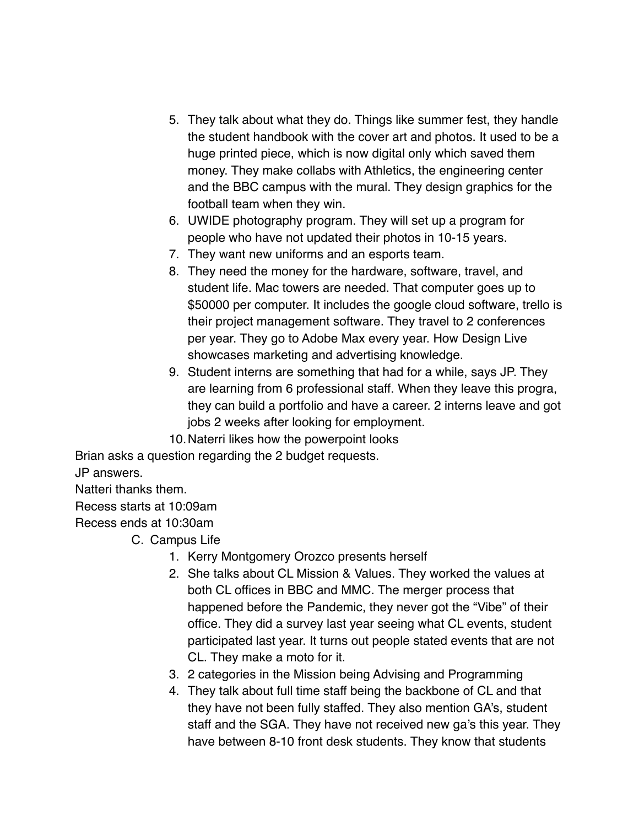- 5. They talk about what they do. Things like summer fest, they handle the student handbook with the cover art and photos. It used to be a huge printed piece, which is now digital only which saved them money. They make collabs with Athletics, the engineering center and the BBC campus with the mural. They design graphics for the football team when they win.
- 6. UWIDE photography program. They will set up a program for people who have not updated their photos in 10-15 years.
- 7. They want new uniforms and an esports team.
- 8. They need the money for the hardware, software, travel, and student life. Mac towers are needed. That computer goes up to \$50000 per computer. It includes the google cloud software, trello is their project management software. They travel to 2 conferences per year. They go to Adobe Max every year. How Design Live showcases marketing and advertising knowledge.
- 9. Student interns are something that had for a while, says JP. They are learning from 6 professional staff. When they leave this progra, they can build a portfolio and have a career. 2 interns leave and got jobs 2 weeks after looking for employment.
- 10.Naterri likes how the powerpoint looks

Brian asks a question regarding the 2 budget requests.

JP answers.

Natteri thanks them.

Recess starts at 10:09am

Recess ends at 10:30am

C. Campus Life

- 1. Kerry Montgomery Orozco presents herself
- 2. She talks about CL Mission & Values. They worked the values at both CL offices in BBC and MMC. The merger process that happened before the Pandemic, they never got the "Vibe" of their office. They did a survey last year seeing what CL events, student participated last year. It turns out people stated events that are not CL. They make a moto for it.
- 3. 2 categories in the Mission being Advising and Programming
- 4. They talk about full time staff being the backbone of CL and that they have not been fully staffed. They also mention GA's, student staff and the SGA. They have not received new ga's this year. They have between 8-10 front desk students. They know that students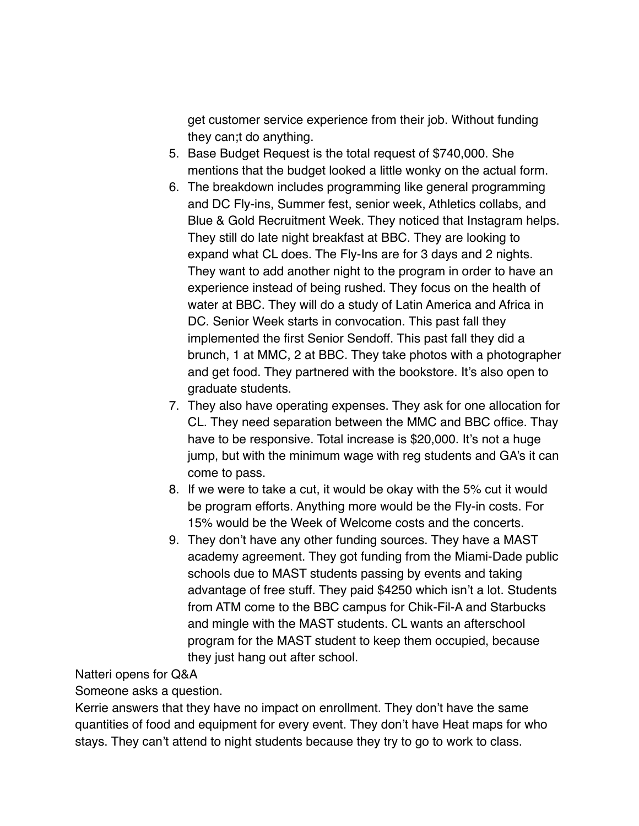get customer service experience from their job. Without funding they can;t do anything.

- 5. Base Budget Request is the total request of \$740,000. She mentions that the budget looked a little wonky on the actual form.
- 6. The breakdown includes programming like general programming and DC Fly-ins, Summer fest, senior week, Athletics collabs, and Blue & Gold Recruitment Week. They noticed that Instagram helps. They still do late night breakfast at BBC. They are looking to expand what CL does. The Fly-Ins are for 3 days and 2 nights. They want to add another night to the program in order to have an experience instead of being rushed. They focus on the health of water at BBC. They will do a study of Latin America and Africa in DC. Senior Week starts in convocation. This past fall they implemented the first Senior Sendoff. This past fall they did a brunch, 1 at MMC, 2 at BBC. They take photos with a photographer and get food. They partnered with the bookstore. It's also open to graduate students.
- 7. They also have operating expenses. They ask for one allocation for CL. They need separation between the MMC and BBC office. Thay have to be responsive. Total increase is \$20,000. It's not a huge jump, but with the minimum wage with reg students and GA's it can come to pass.
- 8. If we were to take a cut, it would be okay with the 5% cut it would be program efforts. Anything more would be the Fly-in costs. For 15% would be the Week of Welcome costs and the concerts.
- 9. They don't have any other funding sources. They have a MAST academy agreement. They got funding from the Miami-Dade public schools due to MAST students passing by events and taking advantage of free stuff. They paid \$4250 which isn't a lot. Students from ATM come to the BBC campus for Chik-Fil-A and Starbucks and mingle with the MAST students. CL wants an afterschool program for the MAST student to keep them occupied, because they just hang out after school.

Natteri opens for Q&A

Someone asks a question.

Kerrie answers that they have no impact on enrollment. They don't have the same quantities of food and equipment for every event. They don't have Heat maps for who stays. They can't attend to night students because they try to go to work to class.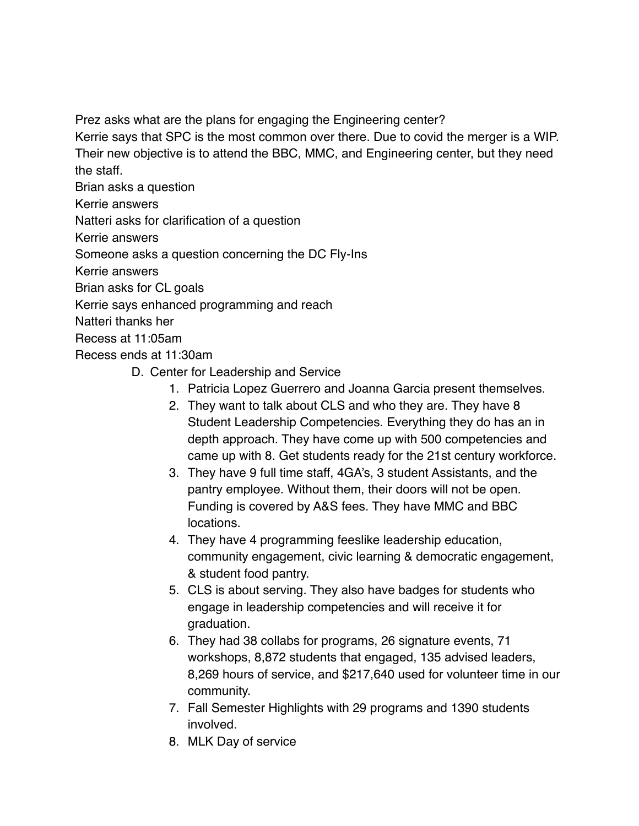Prez asks what are the plans for engaging the Engineering center?

Kerrie says that SPC is the most common over there. Due to covid the merger is a WIP. Their new objective is to attend the BBC, MMC, and Engineering center, but they need the staff.

Brian asks a question

Kerrie answers

Natteri asks for clarification of a question

Kerrie answers

Someone asks a question concerning the DC Fly-Ins

Kerrie answers

Brian asks for CL goals

Kerrie says enhanced programming and reach

Natteri thanks her

Recess at 11:05am

Recess ends at 11:30am

- D. Center for Leadership and Service
	- 1. Patricia Lopez Guerrero and Joanna Garcia present themselves.
	- 2. They want to talk about CLS and who they are. They have 8 Student Leadership Competencies. Everything they do has an in depth approach. They have come up with 500 competencies and came up with 8. Get students ready for the 21st century workforce.
	- 3. They have 9 full time staff, 4GA's, 3 student Assistants, and the pantry employee. Without them, their doors will not be open. Funding is covered by A&S fees. They have MMC and BBC locations.
	- 4. They have 4 programming feeslike leadership education, community engagement, civic learning & democratic engagement, & student food pantry.
	- 5. CLS is about serving. They also have badges for students who engage in leadership competencies and will receive it for graduation.
	- 6. They had 38 collabs for programs, 26 signature events, 71 workshops, 8,872 students that engaged, 135 advised leaders, 8,269 hours of service, and \$217,640 used for volunteer time in our community.
	- 7. Fall Semester Highlights with 29 programs and 1390 students involved.
	- 8. MLK Day of service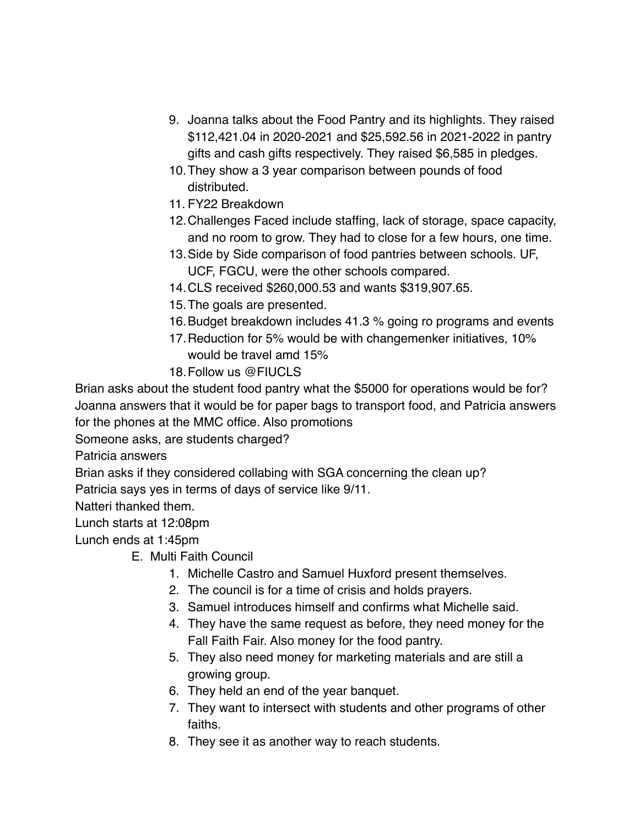- 9. Joanna talks about the Food Pantry and its highlights. They raised \$112,421.04 in 2020-2021 and \$25,592.56 in 2021-2022 in pantry gifts and cash gifts respectively. They raised \$6,585 in pledges.
- 10.They show a 3 year comparison between pounds of food distributed.
- 11. FY22 Breakdown
- 12.Challenges Faced include staffing, lack of storage, space capacity, and no room to grow. They had to close for a few hours, one time.
- 13.Side by Side comparison of food pantries between schools. UF, UCF, FGCU, were the other schools compared.
- 14.CLS received \$260,000.53 and wants \$319,907.65.
- 15.The goals are presented.
- 16.Budget breakdown includes 41.3 % going ro programs and events
- 17.Reduction for 5% would be with changemenker initiatives, 10% would be travel amd 15%
- 18.Follow us @FIUCLS

Brian asks about the student food pantry what the \$5000 for operations would be for? Joanna answers that it would be for paper bags to transport food, and Patricia answers for the phones at the MMC office. Also promotions

Someone asks, are students charged?

Patricia answers

Brian asks if they considered collabing with SGA concerning the clean up?

Patricia says yes in terms of days of service like 9/11.

Natteri thanked them.

Lunch starts at 12:08pm

Lunch ends at 1:45pm

- E. Multi Faith Council
	- 1. Michelle Castro and Samuel Huxford present themselves.
	- 2. The council is for a time of crisis and holds prayers.
	- 3. Samuel introduces himself and confirms what Michelle said.
	- 4. They have the same request as before, they need money for the Fall Faith Fair. Also money for the food pantry.
	- 5. They also need money for marketing materials and are still a growing group.
	- 6. They held an end of the year banquet.
	- 7. They want to intersect with students and other programs of other faiths.
	- 8. They see it as another way to reach students.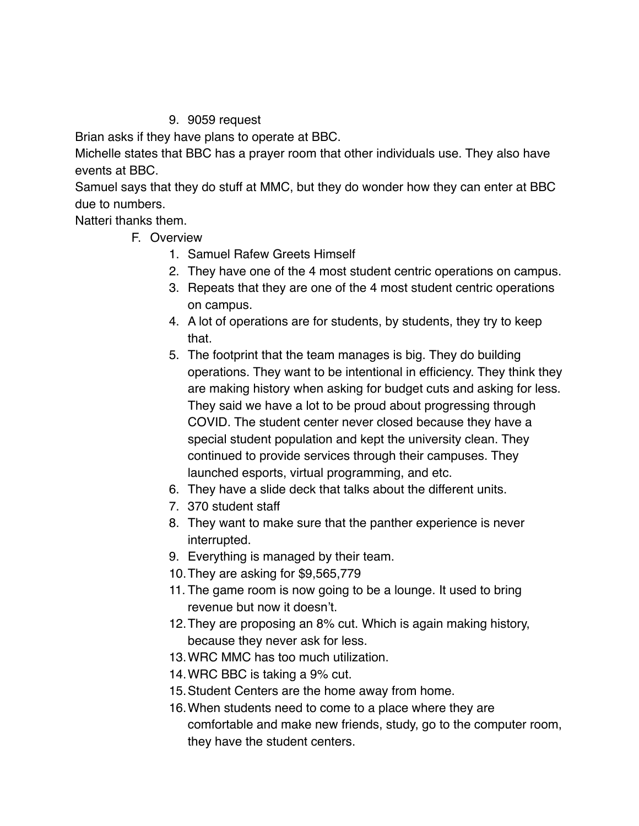# 9. 9059 request

Brian asks if they have plans to operate at BBC.

Michelle states that BBC has a prayer room that other individuals use. They also have events at BBC.

Samuel says that they do stuff at MMC, but they do wonder how they can enter at BBC due to numbers.

Natteri thanks them.

- F. Overview
	- 1. Samuel Rafew Greets Himself
	- 2. They have one of the 4 most student centric operations on campus.
	- 3. Repeats that they are one of the 4 most student centric operations on campus.
	- 4. A lot of operations are for students, by students, they try to keep that.
	- 5. The footprint that the team manages is big. They do building operations. They want to be intentional in efficiency. They think they are making history when asking for budget cuts and asking for less. They said we have a lot to be proud about progressing through COVID. The student center never closed because they have a special student population and kept the university clean. They continued to provide services through their campuses. They launched esports, virtual programming, and etc.
	- 6. They have a slide deck that talks about the different units.
	- 7. 370 student staff
	- 8. They want to make sure that the panther experience is never interrupted.
	- 9. Everything is managed by their team.
	- 10.They are asking for \$9,565,779
	- 11. The game room is now going to be a lounge. It used to bring revenue but now it doesn't.
	- 12.They are proposing an 8% cut. Which is again making history, because they never ask for less.
	- 13.WRC MMC has too much utilization.
	- 14.WRC BBC is taking a 9% cut.
	- 15.Student Centers are the home away from home.
	- 16.When students need to come to a place where they are comfortable and make new friends, study, go to the computer room, they have the student centers.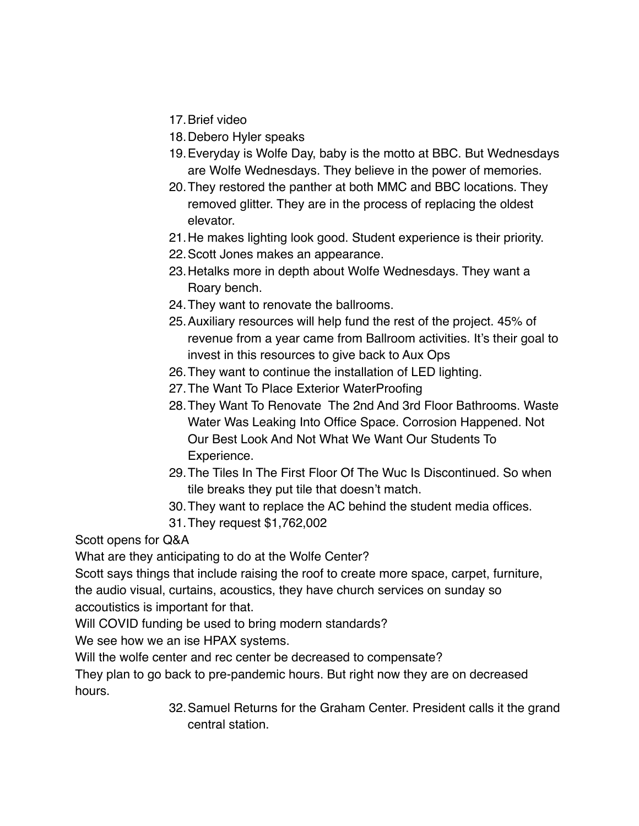- 17.Brief video
- 18.Debero Hyler speaks
- 19.Everyday is Wolfe Day, baby is the motto at BBC. But Wednesdays are Wolfe Wednesdays. They believe in the power of memories.
- 20.They restored the panther at both MMC and BBC locations. They removed glitter. They are in the process of replacing the oldest elevator.
- 21.He makes lighting look good. Student experience is their priority.
- 22.Scott Jones makes an appearance.
- 23.Hetalks more in depth about Wolfe Wednesdays. They want a Roary bench.
- 24.They want to renovate the ballrooms.
- 25.Auxiliary resources will help fund the rest of the project. 45% of revenue from a year came from Ballroom activities. It's their goal to invest in this resources to give back to Aux Ops
- 26.They want to continue the installation of LED lighting.
- 27.The Want To Place Exterior WaterProofing
- 28.They Want To Renovate The 2nd And 3rd Floor Bathrooms. Waste Water Was Leaking Into Office Space. Corrosion Happened. Not Our Best Look And Not What We Want Our Students To Experience.
- 29.The Tiles In The First Floor Of The Wuc Is Discontinued. So when tile breaks they put tile that doesn't match.
- 30.They want to replace the AC behind the student media offices.
- 31.They request \$1,762,002

Scott opens for Q&A

What are they anticipating to do at the Wolfe Center?

Scott says things that include raising the roof to create more space, carpet, furniture, the audio visual, curtains, acoustics, they have church services on sunday so accoutistics is important for that.

Will COVID funding be used to bring modern standards?

We see how we an ise HPAX systems.

Will the wolfe center and rec center be decreased to compensate?

They plan to go back to pre-pandemic hours. But right now they are on decreased hours.

> 32.Samuel Returns for the Graham Center. President calls it the grand central station.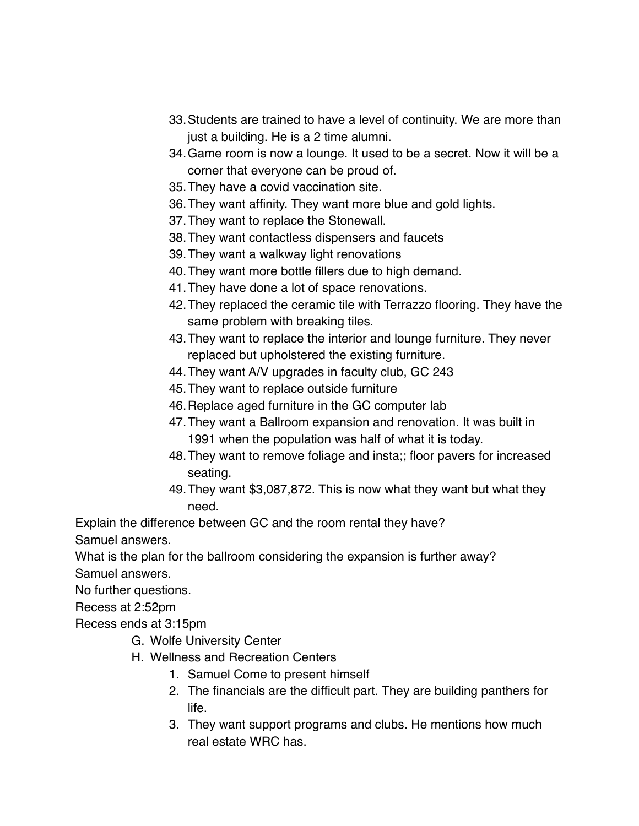- 33.Students are trained to have a level of continuity. We are more than just a building. He is a 2 time alumni.
- 34.Game room is now a lounge. It used to be a secret. Now it will be a corner that everyone can be proud of.
- 35.They have a covid vaccination site.
- 36.They want affinity. They want more blue and gold lights.
- 37.They want to replace the Stonewall.
- 38.They want contactless dispensers and faucets
- 39.They want a walkway light renovations
- 40.They want more bottle fillers due to high demand.
- 41.They have done a lot of space renovations.
- 42.They replaced the ceramic tile with Terrazzo flooring. They have the same problem with breaking tiles.
- 43.They want to replace the interior and lounge furniture. They never replaced but upholstered the existing furniture.
- 44.They want A/V upgrades in faculty club, GC 243
- 45.They want to replace outside furniture
- 46.Replace aged furniture in the GC computer lab
- 47.They want a Ballroom expansion and renovation. It was built in 1991 when the population was half of what it is today.
- 48.They want to remove foliage and insta;; floor pavers for increased seating.
- 49.They want \$3,087,872. This is now what they want but what they need.

Explain the difference between GC and the room rental they have?

Samuel answers.

What is the plan for the ballroom considering the expansion is further away?

Samuel answers.

No further questions.

Recess at 2:52pm

Recess ends at 3:15pm

- G. Wolfe University Center
- H. Wellness and Recreation Centers
	- 1. Samuel Come to present himself
	- 2. The financials are the difficult part. They are building panthers for life.
	- 3. They want support programs and clubs. He mentions how much real estate WRC has.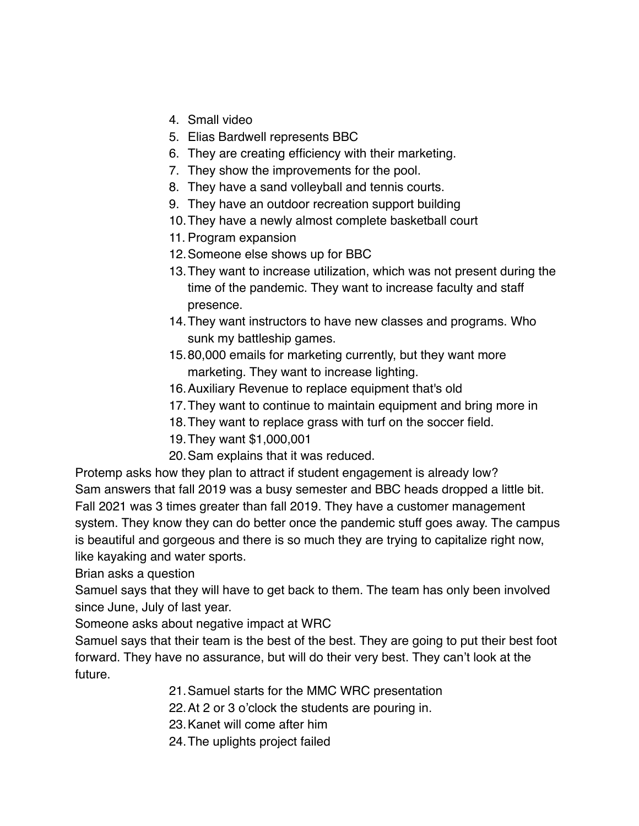- 4. Small video
- 5. Elias Bardwell represents BBC
- 6. They are creating efficiency with their marketing.
- 7. They show the improvements for the pool.
- 8. They have a sand volleyball and tennis courts.
- 9. They have an outdoor recreation support building
- 10.They have a newly almost complete basketball court
- 11. Program expansion
- 12.Someone else shows up for BBC
- 13.They want to increase utilization, which was not present during the time of the pandemic. They want to increase faculty and staff presence.
- 14.They want instructors to have new classes and programs. Who sunk my battleship games.
- 15.80,000 emails for marketing currently, but they want more marketing. They want to increase lighting.
- 16.Auxiliary Revenue to replace equipment that's old
- 17.They want to continue to maintain equipment and bring more in
- 18.They want to replace grass with turf on the soccer field.
- 19.They want \$1,000,001
- 20.Sam explains that it was reduced.

Protemp asks how they plan to attract if student engagement is already low? Sam answers that fall 2019 was a busy semester and BBC heads dropped a little bit. Fall 2021 was 3 times greater than fall 2019. They have a customer management system. They know they can do better once the pandemic stuff goes away. The campus is beautiful and gorgeous and there is so much they are trying to capitalize right now, like kayaking and water sports.

Brian asks a question

Samuel says that they will have to get back to them. The team has only been involved since June, July of last year.

Someone asks about negative impact at WRC

Samuel says that their team is the best of the best. They are going to put their best foot forward. They have no assurance, but will do their very best. They can't look at the future.

- 21.Samuel starts for the MMC WRC presentation
- 22.At 2 or 3 o'clock the students are pouring in.
- 23.Kanet will come after him
- 24.The uplights project failed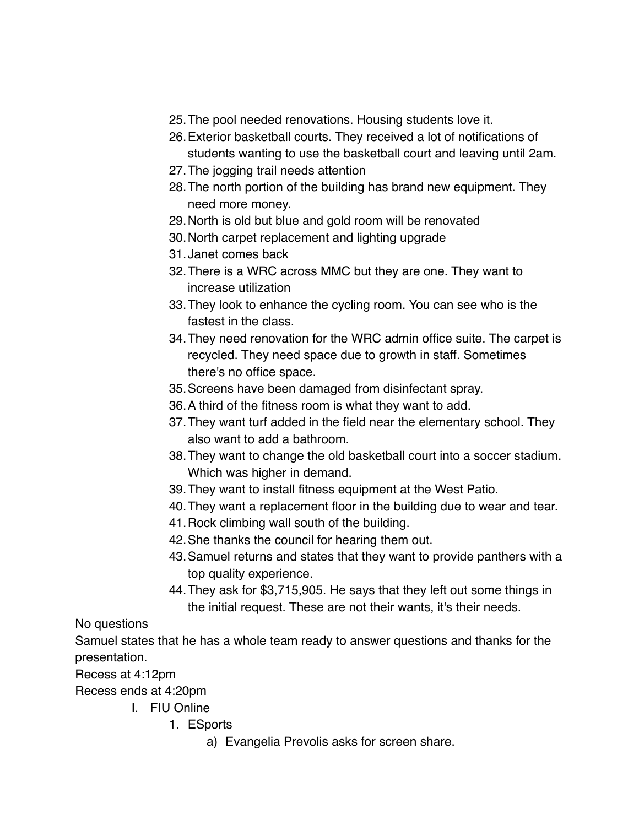- 25.The pool needed renovations. Housing students love it.
- 26.Exterior basketball courts. They received a lot of notifications of students wanting to use the basketball court and leaving until 2am.
- 27.The jogging trail needs attention
- 28.The north portion of the building has brand new equipment. They need more money.
- 29.North is old but blue and gold room will be renovated
- 30.North carpet replacement and lighting upgrade
- 31.Janet comes back
- 32.There is a WRC across MMC but they are one. They want to increase utilization
- 33.They look to enhance the cycling room. You can see who is the fastest in the class.
- 34.They need renovation for the WRC admin office suite. The carpet is recycled. They need space due to growth in staff. Sometimes there's no office space.
- 35.Screens have been damaged from disinfectant spray.
- 36.A third of the fitness room is what they want to add.
- 37.They want turf added in the field near the elementary school. They also want to add a bathroom.
- 38.They want to change the old basketball court into a soccer stadium. Which was higher in demand.
- 39.They want to install fitness equipment at the West Patio.
- 40.They want a replacement floor in the building due to wear and tear.
- 41.Rock climbing wall south of the building.
- 42.She thanks the council for hearing them out.
- 43.Samuel returns and states that they want to provide panthers with a top quality experience.
- 44.They ask for \$3,715,905. He says that they left out some things in the initial request. These are not their wants, it's their needs.

No questions

Samuel states that he has a whole team ready to answer questions and thanks for the presentation.

Recess at 4:12pm

Recess ends at 4:20pm

- I. FIU Online
	- 1. ESports
		- a) Evangelia Prevolis asks for screen share.